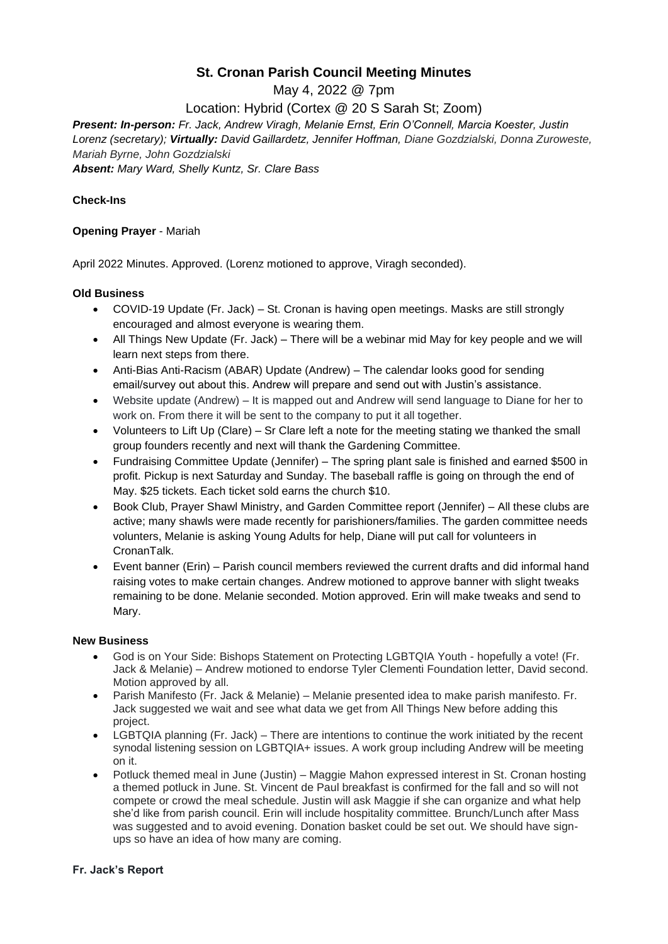# **St. Cronan Parish Council Meeting Minutes**

May 4, 2022 @ 7pm

Location: Hybrid (Cortex @ 20 S Sarah St; Zoom)

*Present: In-person: Fr. Jack, Andrew Viragh, Melanie Ernst, Erin O'Connell, Marcia Koester, Justin Lorenz (secretary); Virtually: David Gaillardetz, Jennifer Hoffman, Diane Gozdzialski, Donna Zuroweste, Mariah Byrne, John Gozdzialski Absent: Mary Ward, Shelly Kuntz, Sr. Clare Bass*

### **Check-Ins**

### **Opening Prayer** - Mariah

April 2022 Minutes. Approved. (Lorenz motioned to approve, Viragh seconded).

### **Old Business**

- COVID-19 Update (Fr. Jack) St. Cronan is having open meetings. Masks are still strongly encouraged and almost everyone is wearing them.
- All Things New Update (Fr. Jack) There will be a webinar mid May for key people and we will learn next steps from there.
- Anti-Bias Anti-Racism (ABAR) Update (Andrew) The calendar looks good for sending email/survey out about this. Andrew will prepare and send out with Justin's assistance.
- Website update (Andrew) It is mapped out and Andrew will send language to Diane for her to work on. From there it will be sent to the company to put it all together.
- Volunteers to Lift Up (Clare) Sr Clare left a note for the meeting stating we thanked the small group founders recently and next will thank the Gardening Committee.
- Fundraising Committee Update (Jennifer) The spring plant sale is finished and earned \$500 in profit. Pickup is next Saturday and Sunday. The baseball raffle is going on through the end of May. \$25 tickets. Each ticket sold earns the church \$10.
- Book Club, Prayer Shawl Ministry, and Garden Committee report (Jennifer) All these clubs are active; many shawls were made recently for parishioners/families. The garden committee needs volunters, Melanie is asking Young Adults for help, Diane will put call for volunteers in CronanTalk.
- Event banner (Erin) Parish council members reviewed the current drafts and did informal hand raising votes to make certain changes. Andrew motioned to approve banner with slight tweaks remaining to be done. Melanie seconded. Motion approved. Erin will make tweaks and send to Mary.

### **New Business**

- God is on Your Side: Bishops Statement on Protecting LGBTQIA Youth hopefully a vote! (Fr. Jack & Melanie) – Andrew motioned to endorse Tyler Clementi Foundation letter, David second. Motion approved by all.
- Parish Manifesto (Fr. Jack & Melanie) Melanie presented idea to make parish manifesto. Fr. Jack suggested we wait and see what data we get from All Things New before adding this project.
- LGBTQIA planning (Fr. Jack) There are intentions to continue the work initiated by the recent synodal listening session on LGBTQIA+ issues. A work group including Andrew will be meeting on it.
- Potluck themed meal in June (Justin) Maggie Mahon expressed interest in St. Cronan hosting a themed potluck in June. St. Vincent de Paul breakfast is confirmed for the fall and so will not compete or crowd the meal schedule. Justin will ask Maggie if she can organize and what help she'd like from parish council. Erin will include hospitality committee. Brunch/Lunch after Mass was suggested and to avoid evening. Donation basket could be set out. We should have signups so have an idea of how many are coming.

### **Fr. Jack's Report**